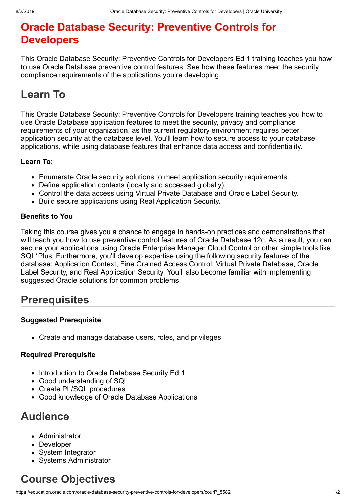# **Oracle Database Security: Preventive Controls for Developers**

This Oracle Database Security: Preventive Controls for Developers Ed 1 training teaches you how to use Oracle Database preventive control features. See how these features meet the security compliance requirements of the applications you're developing.

# **Learn To**

This Oracle Database Security: Preventive Controls for Developers training teaches you how to use Oracle Database application features to meet the security, privacy and compliance requirements of your organization, as the current regulatory environment requires better application security at the database level. You'll learn how to secure access to your database applications, while using database features that enhance data access and confidentiality.

### **Learn To:**

- Enumerate Oracle security solutions to meet application security requirements.
- Define application contexts (locally and accessed globally).
- Control the data access using Virtual Private Database and Oracle Label Security.
- Build secure applications using Real Application Security.

### **Benefits to You**

Taking this course gives you a chance to engage in hands-on practices and demonstrations that will teach you how to use preventive control features of Oracle Database 12c. As a result, you can secure your applications using Oracle Enterprise Manager Cloud Control or other simple tools like SQL\*Plus. Furthermore, you'll develop expertise using the following security features of the database: Application Context, Fine Grained Access Control, Virtual Private Database, Oracle Label Security, and Real Application Security. You'll also become familiar with implementing suggested Oracle solutions for common problems.

### **Prerequisites**

### **Suggested Prerequisite**

Create and manage database users, roles, and privileges

### **Required Prerequisite**

- Introduction to Oracle Database Security Ed 1
- Good understanding of SQL
- Create PL/SQL procedures
- Good knowledge of Oracle Database Applications

## **Audience**

- Administrator
- Developer
- System Integrator
- Systems Administrator

## **Course Objectives**